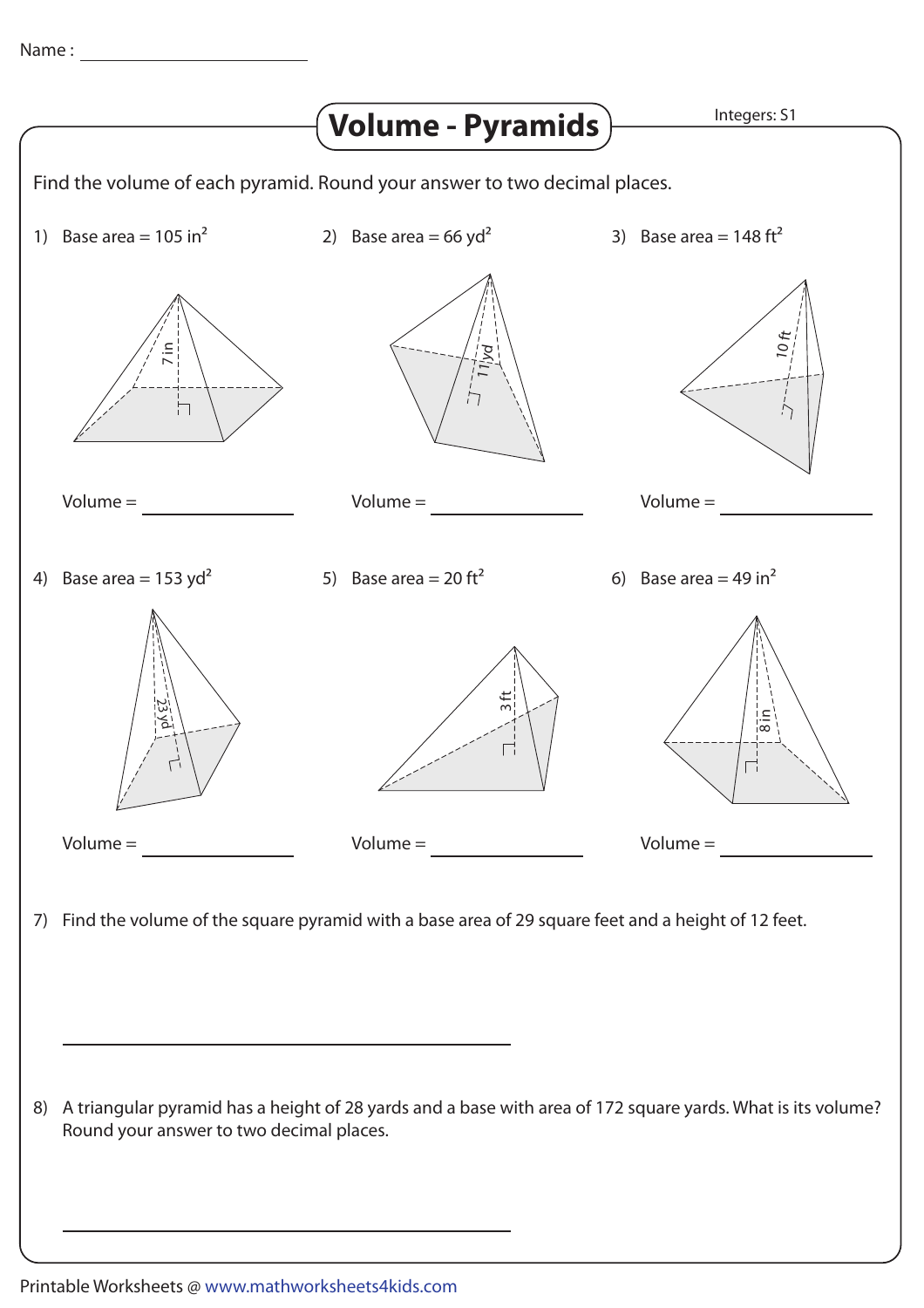